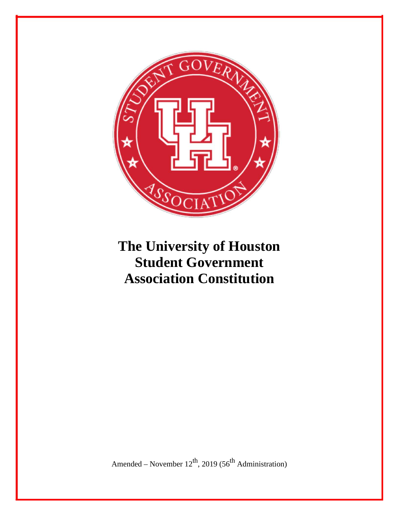

# **The University of Houston Student Government Association Constitution**

Amended – November  $12^{th}$ , 2019 (56<sup>th</sup> Administration)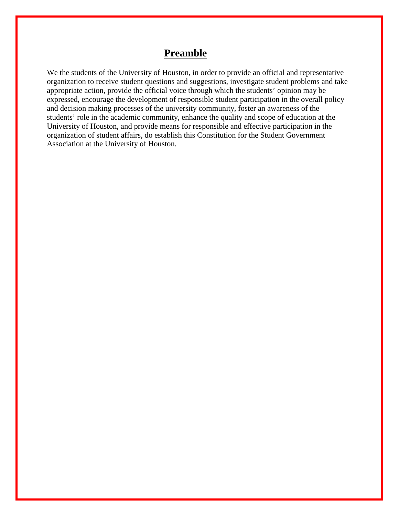### **Preamble**

We the students of the University of Houston, in order to provide an official and representative organization to receive student questions and suggestions, investigate student problems and take appropriate action, provide the official voice through which the students' opinion may be expressed, encourage the development of responsible student participation in the overall policy and decision making processes of the university community, foster an awareness of the students' role in the academic community, enhance the quality and scope of education at the University of Houston, and provide means for responsible and effective participation in the organization of student affairs, do establish this Constitution for the Student Government Association at the University of Houston.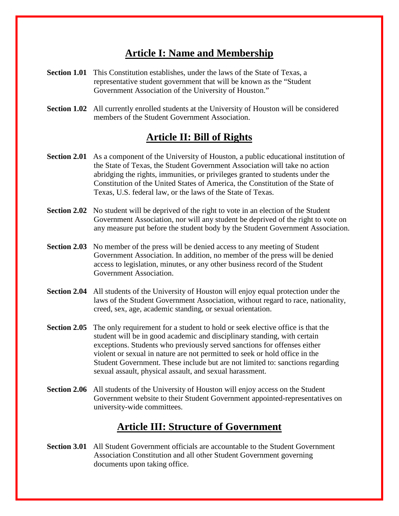# **Article I: Name and Membership**

- **Section 1.01** This Constitution establishes, under the laws of the State of Texas, a representative student government that will be known as the "Student Government Association of the University of Houston."
- **Section 1.02** All currently enrolled students at the University of Houston will be considered members of the Student Government Association.

### **Article II: Bill of Rights**

- **Section 2.01** As a component of the University of Houston, a public educational institution of the State of Texas, the Student Government Association will take no action abridging the rights, immunities, or privileges granted to students under the Constitution of the United States of America, the Constitution of the State of Texas, U.S. federal law, or the laws of the State of Texas.
- **Section 2.02** No student will be deprived of the right to vote in an election of the Student Government Association, nor will any student be deprived of the right to vote on any measure put before the student body by the Student Government Association.
- **Section 2.03** No member of the press will be denied access to any meeting of Student Government Association. In addition, no member of the press will be denied access to legislation, minutes, or any other business record of the Student Government Association.
- **Section 2.04** All students of the University of Houston will enjoy equal protection under the laws of the Student Government Association, without regard to race, nationality, creed, sex, age, academic standing, or sexual orientation.
- **Section 2.05** The only requirement for a student to hold or seek elective office is that the student will be in good academic and disciplinary standing, with certain exceptions. Students who previously served sanctions for offenses either violent or sexual in nature are not permitted to seek or hold office in the Student Government. These include but are not limited to: sanctions regarding sexual assault, physical assault, and sexual harassment.
- **Section 2.06** All students of the University of Houston will enjoy access on the Student Government website to their Student Government appointed-representatives on university-wide committees.

# **Article III: Structure of Government**

**Section 3.01** All Student Government officials are accountable to the Student Government Association Constitution and all other Student Government governing documents upon taking office.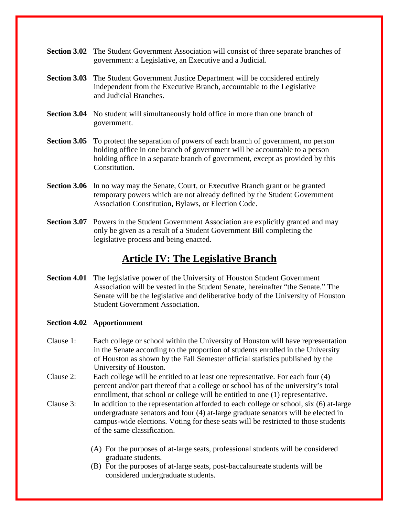- **Section 3.02** The Student Government Association will consist of three separate branches of government: a Legislative, an Executive and a Judicial.
- **Section 3.03** The Student Government Justice Department will be considered entirely independent from the Executive Branch, accountable to the Legislative and Judicial Branches.
- **Section 3.04** No student will simultaneously hold office in more than one branch of government.
- **Section 3.05** To protect the separation of powers of each branch of government, no person holding office in one branch of government will be accountable to a person holding office in a separate branch of government, except as provided by this Constitution.
- **Section 3.06** In no way may the Senate, Court, or Executive Branch grant or be granted temporary powers which are not already defined by the Student Government Association Constitution, Bylaws, or Election Code.
- **Section 3.07** Powers in the Student Government Association are explicitly granted and may only be given as a result of a Student Government Bill completing the legislative process and being enacted.

### **Article IV: The Legislative Branch**

**Section 4.01** The legislative power of the University of Houston Student Government Association will be vested in the Student Senate, hereinafter "the Senate." The Senate will be the legislative and deliberative body of the University of Houston Student Government Association.

#### **Section 4.02 Apportionment**

- Clause 1: Each college or school within the University of Houston will have representation in the Senate according to the proportion of students enrolled in the University of Houston as shown by the Fall Semester official statistics published by the University of Houston.
- Clause 2: Each college will be entitled to at least one representative. For each four (4) percent and/or part thereof that a college or school has of the university's total enrollment, that school or college will be entitled to one (1) representative.
- Clause 3: In addition to the representation afforded to each college or school, six (6) at-large undergraduate senators and four (4) at-large graduate senators will be elected in campus-wide elections. Voting for these seats will be restricted to those students of the same classification.
	- (A) For the purposes of at-large seats, professional students will be considered graduate students.
	- (B) For the purposes of at-large seats, post-baccalaureate students will be considered undergraduate students.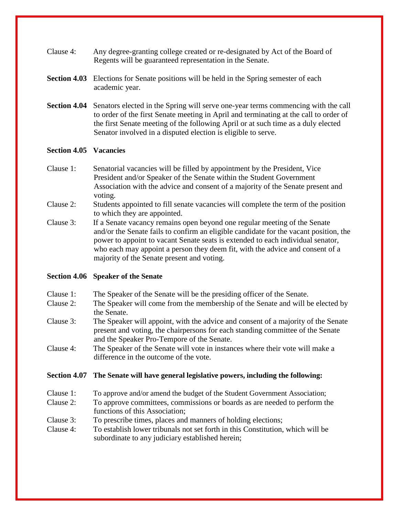- Clause 4: Any degree-granting college created or re-designated by Act of the Board of Regents will be guaranteed representation in the Senate.
- **Section 4.03** Elections for Senate positions will be held in the Spring semester of each academic year.
- **Section 4.04** Senators elected in the Spring will serve one-year terms commencing with the call to order of the first Senate meeting in April and terminating at the call to order of the first Senate meeting of the following April or at such time as a duly elected Senator involved in a disputed election is eligible to serve.

#### **Section 4.05 Vacancies**

- Clause 1: Senatorial vacancies will be filled by appointment by the President, Vice President and/or Speaker of the Senate within the Student Government Association with the advice and consent of a majority of the Senate present and voting.
- Clause 2: Students appointed to fill senate vacancies will complete the term of the position to which they are appointed.
- Clause 3: If a Senate vacancy remains open beyond one regular meeting of the Senate and/or the Senate fails to confirm an eligible candidate for the vacant position, the power to appoint to vacant Senate seats is extended to each individual senator, who each may appoint a person they deem fit, with the advice and consent of a majority of the Senate present and voting.

### **Section 4.06 Speaker of the Senate**

- Clause 1: The Speaker of the Senate will be the presiding officer of the Senate.
- Clause 2: The Speaker will come from the membership of the Senate and will be elected by the Senate.
- Clause 3: The Speaker will appoint, with the advice and consent of a majority of the Senate present and voting, the chairpersons for each standing committee of the Senate and the Speaker Pro-Tempore of the Senate.
- Clause 4: The Speaker of the Senate will vote in instances where their vote will make a difference in the outcome of the vote.

### **Section 4.07 The Senate will have general legislative powers, including the following:**

- Clause 1: To approve and/or amend the budget of the Student Government Association;
- Clause 2: To approve committees, commissions or boards as are needed to perform the functions of this Association;
- Clause 3: To prescribe times, places and manners of holding elections;
- Clause 4: To establish lower tribunals not set forth in this Constitution, which will be subordinate to any judiciary established herein;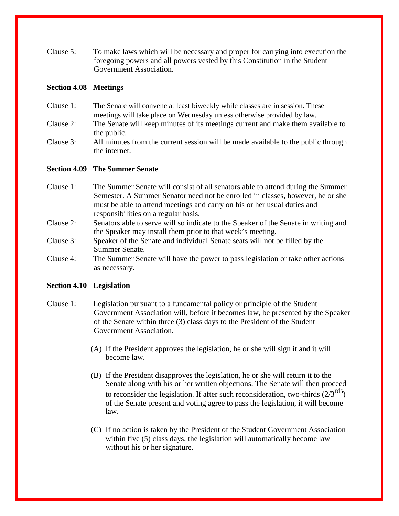Clause 5: To make laws which will be necessary and proper for carrying into execution the foregoing powers and all powers vested by this Constitution in the Student Government Association.

#### **Section 4.08 Meetings**

- Clause 1: The Senate will convene at least biweekly while classes are in session. These meetings will take place on Wednesday unless otherwise provided by law.
- Clause 2: The Senate will keep minutes of its meetings current and make them available to the public.
- Clause 3: All minutes from the current session will be made available to the public through the internet.

### **Section 4.09 The Summer Senate**

- Clause 1: The Summer Senate will consist of all senators able to attend during the Summer Semester. A Summer Senator need not be enrolled in classes, however, he or she must be able to attend meetings and carry on his or her usual duties and responsibilities on a regular basis.
- Clause 2: Senators able to serve will so indicate to the Speaker of the Senate in writing and the Speaker may install them prior to that week's meeting.
- Clause 3: Speaker of the Senate and individual Senate seats will not be filled by the Summer Senate.
- Clause 4: The Summer Senate will have the power to pass legislation or take other actions as necessary.

#### **Section 4.10 Legislation**

- Clause 1: Legislation pursuant to a fundamental policy or principle of the Student Government Association will, before it becomes law, be presented by the Speaker of the Senate within three (3) class days to the President of the Student Government Association.
	- (A) If the President approves the legislation, he or she will sign it and it will become law.
	- (B) If the President disapproves the legislation, he or she will return it to the Senate along with his or her written objections. The Senate will then proceed to reconsider the legislation. If after such reconsideration, two-thirds  $(2/3<sup>rgs</sup>)$ of the Senate present and voting agree to pass the legislation, it will become law.
	- (C) If no action is taken by the President of the Student Government Association within five (5) class days, the legislation will automatically become law without his or her signature.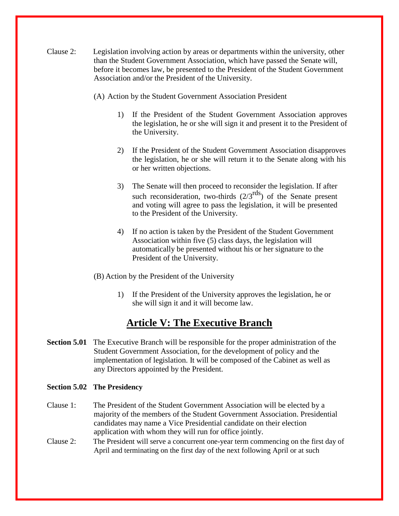- Clause 2: Legislation involving action by areas or departments within the university, other than the Student Government Association, which have passed the Senate will, before it becomes law, be presented to the President of the Student Government Association and/or the President of the University.
	- (A) Action by the Student Government Association President
		- 1) If the President of the Student Government Association approves the legislation, he or she will sign it and present it to the President of the University.
		- 2) If the President of the Student Government Association disapproves the legislation, he or she will return it to the Senate along with his or her written objections.
		- 3) The Senate will then proceed to reconsider the legislation. If after such reconsideration, two-thirds  $(2/3^{rds})$  of the Senate present and voting will agree to pass the legislation, it will be presented to the President of the University.
		- 4) If no action is taken by the President of the Student Government Association within five (5) class days, the legislation will automatically be presented without his or her signature to the President of the University.
	- (B) Action by the President of the University
		- 1) If the President of the University approves the legislation, he or she will sign it and it will become law.

### **Article V: The Executive Branch**

**Section 5.01** The Executive Branch will be responsible for the proper administration of the Student Government Association, for the development of policy and the implementation of legislation. It will be composed of the Cabinet as well as any Directors appointed by the President.

#### **Section 5.02 The Presidency**

- Clause 1: The President of the Student Government Association will be elected by a majority of the members of the Student Government Association. Presidential candidates may name a Vice Presidential candidate on their election application with whom they will run for office jointly.
- Clause 2: The President will serve a concurrent one-year term commencing on the first day of April and terminating on the first day of the next following April or at such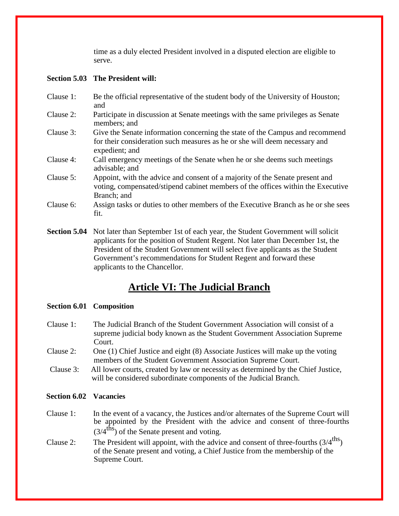time as a duly elected President involved in a disputed election are eligible to serve.

### **Section 5.03 The President will:**

- Clause 1: Be the official representative of the student body of the University of Houston; and
- Clause 2: Participate in discussion at Senate meetings with the same privileges as Senate members; and
- Clause 3: Give the Senate information concerning the state of the Campus and recommend for their consideration such measures as he or she will deem necessary and expedient; and
- Clause 4: Call emergency meetings of the Senate when he or she deems such meetings advisable; and
- Clause 5: Appoint, with the advice and consent of a majority of the Senate present and voting, compensated/stipend cabinet members of the offices within the Executive Branch; and
- Clause 6: Assign tasks or duties to other members of the Executive Branch as he or she sees fit.
- **Section 5.04** Not later than September 1st of each year, the Student Government will solicit applicants for the position of Student Regent. Not later than December 1st, the President of the Student Government will select five applicants as the Student Government's recommendations for Student Regent and forward these applicants to the Chancellor.

# **Article VI: The Judicial Branch**

### **Section 6.01 Composition**

- Clause 1: The Judicial Branch of the Student Government Association will consist of a supreme judicial body known as the Student Government Association Supreme Court.
- Clause 2: One (1) Chief Justice and eight (8) Associate Justices will make up the voting members of the Student Government Association Supreme Court.
- Clause 3: All lower courts, created by law or necessity as determined by the Chief Justice, will be considered subordinate components of the Judicial Branch.

### **Section 6.02 Vacancies**

- Clause 1: In the event of a vacancy, the Justices and/or alternates of the Supreme Court will be appointed by the President with the advice and consent of three-fourths  $(3/4^{\text{ths}})$  of the Senate present and voting.
- Clause 2: The President will appoint, with the advice and consent of three-fourths  $(3/4^{\text{ths}})$ of the Senate present and voting, a Chief Justice from the membership of the Supreme Court.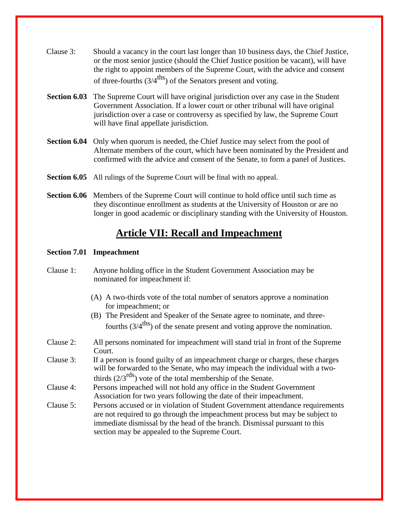- Clause 3: Should a vacancy in the court last longer than 10 business days, the Chief Justice, or the most senior justice (should the Chief Justice position be vacant), will have the right to appoint members of the Supreme Court, with the advice and consent of three-fourths  $(3/4^{\text{ths}})$  of the Senators present and voting.
- **Section 6.03** The Supreme Court will have original jurisdiction over any case in the Student Government Association. If a lower court or other tribunal will have original jurisdiction over a case or controversy as specified by law, the Supreme Court will have final appellate jurisdiction.
- **Section 6.04** Only when quorum is needed, the Chief Justice may select from the pool of Alternate members of the court, which have been nominated by the President and confirmed with the advice and consent of the Senate, to form a panel of Justices.
- **Section 6.05** All rulings of the Supreme Court will be final with no appeal.
- **Section 6.06** Members of the Supreme Court will continue to hold office until such time as they discontinue enrollment as students at the University of Houston or are no longer in good academic or disciplinary standing with the University of Houston.

### **Article VII: Recall and Impeachment**

#### **Section 7.01 Impeachment**

- Clause 1: Anyone holding office in the Student Government Association may be nominated for impeachment if:
	- (A) A two-thirds vote of the total number of senators approve a nomination for impeachment; or
	- (B) The President and Speaker of the Senate agree to nominate, and threefourths  $(3/4^{\text{ths}})$  of the senate present and voting approve the nomination.
- Clause 2: All persons nominated for impeachment will stand trial in front of the Supreme Court.
- Clause 3: If a person is found guilty of an impeachment charge or charges, these charges will be forwarded to the Senate, who may impeach the individual with a twothirds  $(2/3^{rds})$  vote of the total membership of the Senate.
- Clause 4: Persons impeached will not hold any office in the Student Government Association for two years following the date of their impeachment.
- Clause 5: Persons accused or in violation of Student Government attendance requirements are not required to go through the impeachment process but may be subject to immediate dismissal by the head of the branch. Dismissal pursuant to this section may be appealed to the Supreme Court.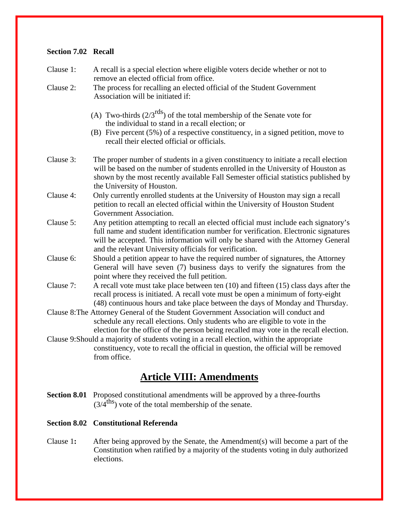### **Section 7.02 Recall**

| Clause 1: | A recall is a special election where eligible voters decide whether or not to<br>remove an elected official from office.                                                                                                                                                                                                  |
|-----------|---------------------------------------------------------------------------------------------------------------------------------------------------------------------------------------------------------------------------------------------------------------------------------------------------------------------------|
| Clause 2: | The process for recalling an elected official of the Student Government<br>Association will be initiated if:                                                                                                                                                                                                              |
|           | (A) Two-thirds $(2/3^{rds})$ of the total membership of the Senate vote for<br>the individual to stand in a recall election; or<br>(B) Five percent $(5\%)$ of a respective constituency, in a signed petition, move to<br>recall their elected official or officials.                                                    |
| Clause 3: | The proper number of students in a given constituency to initiate a recall election<br>will be based on the number of students enrolled in the University of Houston as<br>shown by the most recently available Fall Semester official statistics published by<br>the University of Houston.                              |
| Clause 4: | Only currently enrolled students at the University of Houston may sign a recall<br>petition to recall an elected official within the University of Houston Student<br>Government Association.                                                                                                                             |
| Clause 5: | Any petition attempting to recall an elected official must include each signatory's<br>full name and student identification number for verification. Electronic signatures<br>will be accepted. This information will only be shared with the Attorney General<br>and the relevant University officials for verification. |
| Clause 6: | Should a petition appear to have the required number of signatures, the Attorney<br>General will have seven (7) business days to verify the signatures from the<br>point where they received the full petition.                                                                                                           |
| Clause 7: | A recall vote must take place between ten (10) and fifteen (15) class days after the<br>recall process is initiated. A recall vote must be open a minimum of forty-eight<br>(48) continuous hours and take place between the days of Monday and Thursday.                                                                 |
|           | Clause 8: The Attorney General of the Student Government Association will conduct and<br>schedule any recall elections. Only students who are eligible to vote in the<br>election for the office of the person being recalled may vote in the recall election.                                                            |
|           | Clause 9: Should a majority of students voting in a recall election, within the appropriate<br>constituency, vote to recall the official in question, the official will be removed<br>from office.                                                                                                                        |

# **Article VIII: Amendments**

**Section 8.01** Proposed constitutional amendments will be approved by a three-fourths  $(3/4^{\text{ths}})$  vote of the total membership of the senate.

### **Section 8.02 Constitutional Referenda**

Clause 1**:** After being approved by the Senate, the Amendment(s) will become a part of the Constitution when ratified by a majority of the students voting in duly authorized elections.